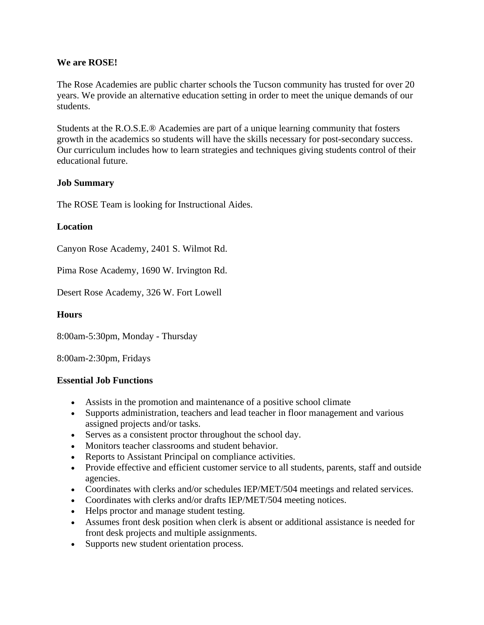## **We are ROSE!**

The Rose Academies are public charter schools the Tucson community has trusted for over 20 years. We provide an alternative education setting in order to meet the unique demands of our students.

Students at the R.O.S.E.® Academies are part of a unique learning community that fosters growth in the academics so students will have the skills necessary for post-secondary success. Our curriculum includes how to learn strategies and techniques giving students control of their educational future.

### **Job Summary**

The ROSE Team is looking for Instructional Aides.

#### **Location**

Canyon Rose Academy, 2401 S. Wilmot Rd.

Pima Rose Academy, 1690 W. Irvington Rd.

Desert Rose Academy, 326 W. Fort Lowell

### **Hours**

8:00am-5:30pm, Monday - Thursday

8:00am-2:30pm, Fridays

#### **Essential Job Functions**

- Assists in the promotion and maintenance of a positive school climate
- Supports administration, teachers and lead teacher in floor management and various assigned projects and/or tasks.
- Serves as a consistent proctor throughout the school day.
- Monitors teacher classrooms and student behavior.
- Reports to Assistant Principal on compliance activities.
- Provide effective and efficient customer service to all students, parents, staff and outside agencies.
- Coordinates with clerks and/or schedules IEP/MET/504 meetings and related services.
- Coordinates with clerks and/or drafts IEP/MET/504 meeting notices.
- Helps proctor and manage student testing.
- Assumes front desk position when clerk is absent or additional assistance is needed for front desk projects and multiple assignments.
- Supports new student orientation process.